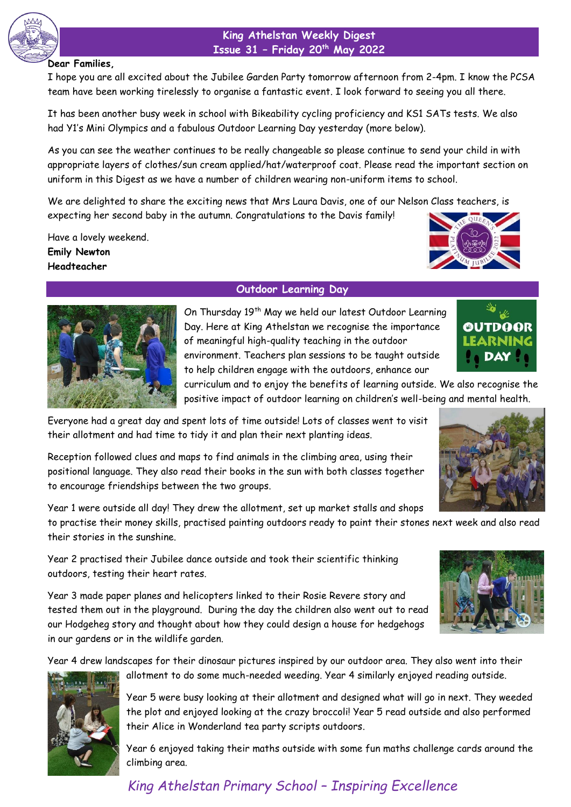

### **King Athelstan Weekly Digest Issue 31 – Friday 20th May 2022**

#### **Dear Families,**

I hope you are all excited about the Jubilee Garden Party tomorrow afternoon from 2-4pm. I know the PCSA team have been working tirelessly to organise a fantastic event. I look forward to seeing you all there.

It has been another busy week in school with Bikeability cycling proficiency and KS1 SATs tests. We also had Y1's Mini Olympics and a fabulous Outdoor Learning Day yesterday (more below).

As you can see the weather continues to be really changeable so please continue to send your child in with appropriate layers of clothes/sun cream applied/hat/waterproof coat. Please read the important section on uniform in this Digest as we have a number of children wearing non-uniform items to school.

We are delighted to share the exciting news that Mrs Laura Davis, one of our Nelson Class teachers, is expecting her second baby in the autumn. Congratulations to the Davis family!

Have a lovely weekend. **Emily Newton Headteacher**





# **Outdoor Learning Day**

On Thursday 19<sup>th</sup> May we held our latest Outdoor Learning Day. Here at King Athelstan we recognise the importance of meaningful high-quality teaching in the outdoor environment. Teachers plan sessions to be taught outside to help children engage with the outdoors, enhance our



curriculum and to enjoy the benefits of learning outside. We also recognise the positive impact of outdoor learning on children's well-being and mental health.

Everyone had a great day and spent lots of time outside! Lots of classes went to visit their allotment and had time to tidy it and plan their next planting ideas.

Reception followed clues and maps to find animals in the climbing area, using their positional language. They also read their books in the sun with both classes together to encourage friendships between the two groups.

Year 1 were outside all day! They drew the allotment, set up market stalls and shops

to practise their money skills, practised painting outdoors ready to paint their stones next week and also read their stories in the sunshine.

Year 2 practised their Jubilee dance outside and took their scientific thinking outdoors, testing their heart rates.

Year 3 made paper planes and helicopters linked to their Rosie Revere story and tested them out in the playground. During the day the children also went out to read our Hodgeheg story and thought about how they could design a house for hedgehogs in our gardens or in the wildlife garden.

Year 4 drew landscapes for their dinosaur pictures inspired by our outdoor area. They also went into their



allotment to do some much-needed weeding. Year 4 similarly enjoyed reading outside.

Year 5 were busy looking at their allotment and designed what will go in next. They weeded the plot and enjoyed looking at the crazy broccoli! Year 5 read outside and also performed their Alice in Wonderland tea party scripts outdoors.

Year 6 enjoyed taking their maths outside with some fun maths challenge cards around the climbing area.

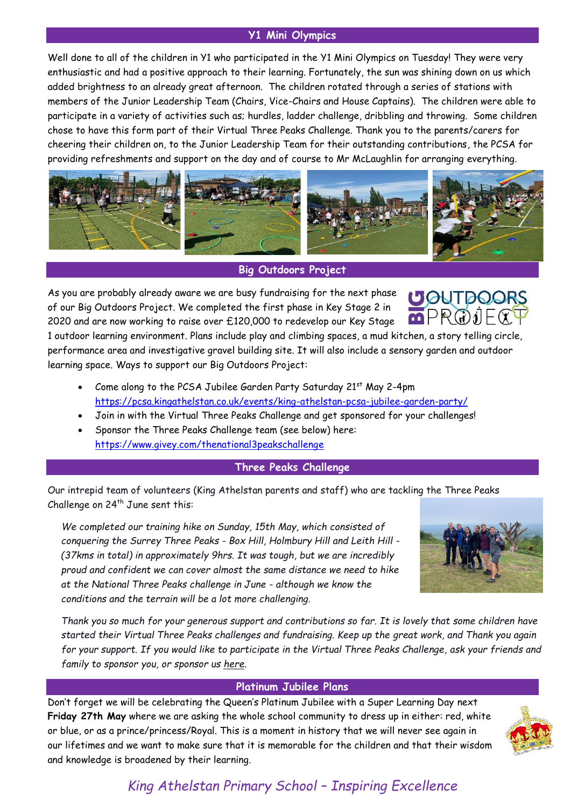# **Y1 Mini Olympics**

Well done to all of the children in Y1 who participated in the Y1 Mini Olympics on Tuesday! They were very enthusiastic and had a positive approach to their learning. Fortunately, the sun was shining down on us which added brightness to an already great afternoon. The children rotated through a series of stations with members of the Junior Leadership Team (Chairs, Vice-Chairs and House Captains). The children were able to participate in a variety of activities such as; hurdles, ladder challenge, dribbling and throwing. Some children chose to have this form part of their Virtual Three Peaks Challenge. Thank you to the parents/carers for cheering their children on, to the Junior Leadership Team for their outstanding contributions, the PCSA for providing refreshments and support on the day and of course to Mr McLaughlin for arranging everything.



**Big Outdoors Project**

As you are probably already aware we are busy fundraising for the next phase of our Big Outdoors Project. We completed the first phase in Key Stage 2 in 2020 and are now working to raise over £120,000 to redevelop our Key Stage



1 outdoor learning environment. Plans include play and climbing spaces, a mud kitchen, a story telling circle, performance area and investigative gravel building site. It will also include a sensory garden and outdoor learning space. Ways to support our Big Outdoors Project:

- Come along to the PCSA Jubilee Garden Party Saturday 21st May 2-4pm <https://pcsa.kingathelstan.co.uk/events/king-athelstan-pcsa-jubilee-garden-party/>
- Join in with the Virtual Three Peaks Challenge and get sponsored for your challenges!
- Sponsor the Three Peaks Challenge team (see below) here: <https://www.givey.com/thenational3peakschallenge>

# **Three Peaks Challenge**

Our intrepid team of volunteers (King Athelstan parents and staff) who are tackling the Three Peaks Challenge on  $24^{th}$  June sent this:

*We completed our training hike on Sunday, 15th May, which consisted of conquering the Surrey Three Peaks - Box Hill, Holmbury Hill and Leith Hill - (37kms in total) in approximately 9hrs. It was tough, but we are incredibly proud and confident we can cover almost the same distance we need to hike at the National Three Peaks challenge in June - although we know the conditions and the terrain will be a lot more challenging.*



*Thank you so much for your generous support and contributions so far. It is lovely that some children have started their Virtual Three Peaks challenges and fundraising. Keep up the great work, and Thank you again for your support. If you would like to participate in the Virtual Three Peaks Challenge, ask your friends and family to sponsor you, or sponsor us [here.](https://www.givey.com/thenational3peakschallenge)*

# **Platinum Jubilee Plans**

Don't forget we will be celebrating the Queen's Platinum Jubilee with a Super Learning Day next **Friday 27th May** where we are asking the whole school community to dress up in either: red, white or blue, or as a prince/princess/Royal. This is a moment in history that we will never see again in our lifetimes and we want to make sure that it is memorable for the children and that their wisdom and knowledge is broadened by their learning.

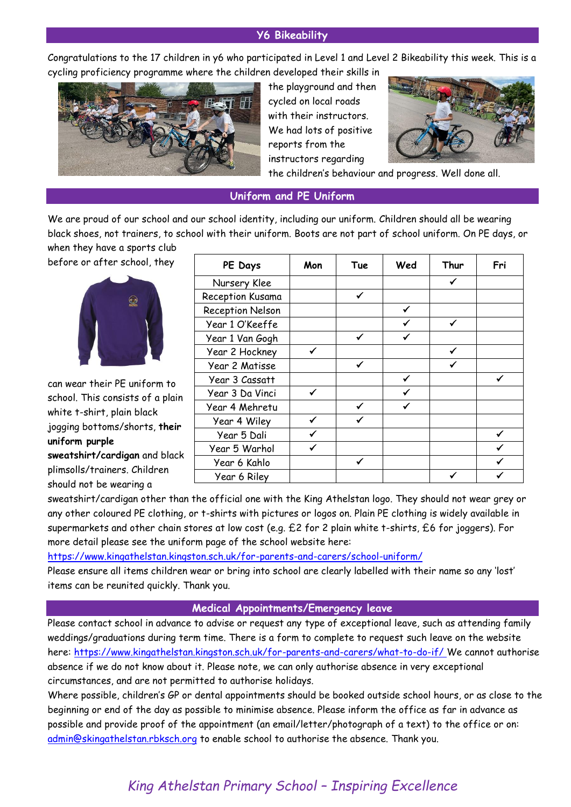### **Y6 Bikeability**

Congratulations to the 17 children in y6 who participated in Level 1 and Level 2 Bikeability this week. This is a cycling proficiency programme where the children developed their skills in



the playground and then cycled on local roads with their instructors. We had lots of positive reports from the instructors regarding



the children's behaviour and progress. Well done all.

#### **Uniform and PE Uniform**

We are proud of our school and our school identity, including our uniform. Children should all be wearing black shoes, not trainers, to school with their uniform. Boots are not part of school uniform. On PE days, or when they have a sports club

before or after school, they



can wear their PE uniform to school. This consists of a plain white t-shirt, plain black jogging bottoms/shorts, **their uniform purple sweatshirt/cardigan** and black plimsolls/trainers. Children should not be wearing a

| PE Days          | Mon | Tue          | Wed | Thur | Fri |
|------------------|-----|--------------|-----|------|-----|
| Nursery Klee     |     |              |     |      |     |
| Reception Kusama |     | ✓            |     |      |     |
| Reception Nelson |     |              | ✓   |      |     |
| Year 1 O'Keeffe  |     |              |     | ✓    |     |
| Year 1 Van Gogh  |     | ✓            |     |      |     |
| Year 2 Hockney   | ✓   |              |     |      |     |
| Year 2 Matisse   |     | $\checkmark$ |     |      |     |
| Year 3 Cassatt   |     |              | ✓   |      | ✓   |
| Year 3 Da Vinci  | ✔   |              |     |      |     |
| Year 4 Mehretu   |     |              |     |      |     |
| Year 4 Wiley     | ✓   |              |     |      |     |
| Year 5 Dali      | ✔   |              |     |      |     |
| Year 5 Warhol    |     |              |     |      |     |
| Year 6 Kahlo     |     |              |     |      |     |
| Year 6 Riley     |     |              |     |      |     |

sweatshirt/cardigan other than the official one with the King Athelstan logo. They should not wear grey or any other coloured PE clothing, or t-shirts with pictures or logos on. Plain PE clothing is widely available in supermarkets and other chain stores at low cost (e.g. £2 for 2 plain white t-shirts, £6 for joggers). For more detail please see the uniform page of the school website here:

#### <https://www.kingathelstan.kingston.sch.uk/for-parents-and-carers/school-uniform/>

Please ensure all items children wear or bring into school are clearly labelled with their name so any 'lost' items can be reunited quickly. Thank you.

#### **Medical Appointments/Emergency leave**

Please contact school in advance to advise or request any type of exceptional leave, such as attending family weddings/graduations during term time. There is a form to complete to request such leave on the website here:<https://www.kingathelstan.kingston.sch.uk/for-parents-and-carers/what-to-do-if/> We cannot authorise absence if we do not know about it. Please note, we can only authorise absence in very exceptional circumstances, and are not permitted to authorise holidays.

Where possible, children's GP or dental appointments should be booked outside school hours, or as close to the beginning or end of the day as possible to minimise absence. Please inform the office as far in advance as possible and provide proof of the appointment (an email/letter/photograph of a text) to the office or on: [admin@skingathelstan.rbksch.org](mailto:admin@skingathelstan.rbksch.org) to enable school to authorise the absence. Thank you.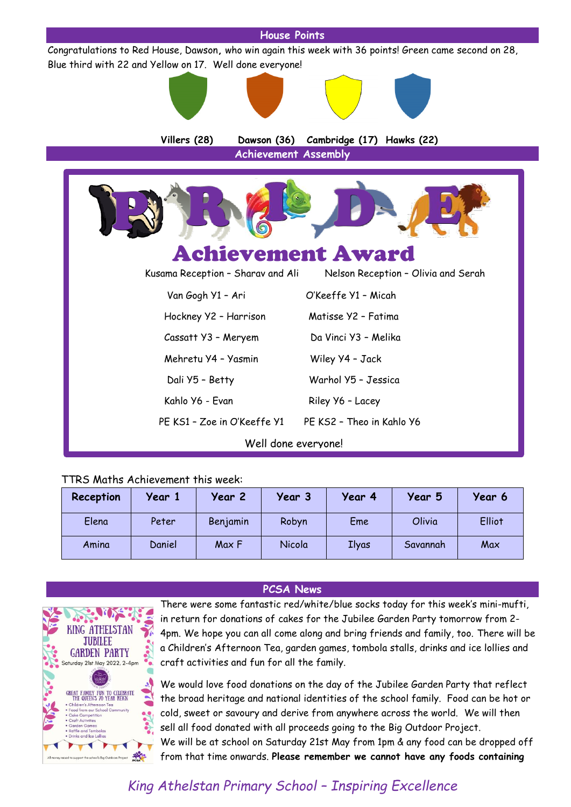

# TTRS Maths Achievement this week:

| Reception | Year 1 | Year 2   | Year 3 | Year 4 | Year 5   | Year 6 |
|-----------|--------|----------|--------|--------|----------|--------|
| Elena     | Peter  | Benjamin | Robyn  | Eme    | Olivia   | Elliot |
| Amina     | Daniel | Max F    | Nicola | Ilyas  | Savannah | Max    |

# **PCSA News**



There were some fantastic red/white/blue socks today for this week's mini-mufti, in return for donations of cakes for the Jubilee Garden Party tomorrow from 2- 4pm. We hope you can all come along and bring friends and family, too. There will be a Children's Afternoon Tea, garden games, tombola stalls, drinks and ice lollies and craft activities and fun for all the family.

We would love food donations on the day of the Jubilee Garden Party that reflect the broad heritage and national identities of the school family. Food can be hot or cold, sweet or savoury and derive from anywhere across the world. We will then sell all food donated with all proceeds going to the Big Outdoor Project. We will be at school on Saturday 21st May from 1pm & any food can be dropped off from that time onwards. **Please remember we cannot have any foods containing**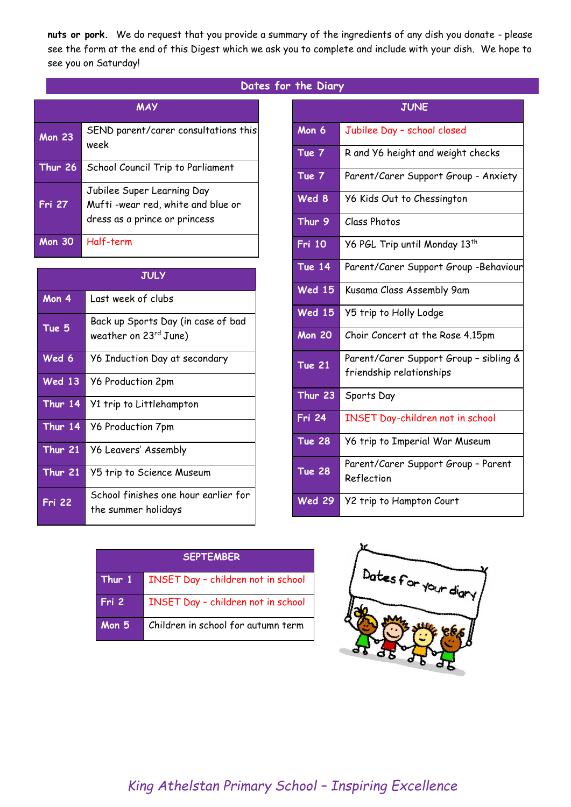**nuts or pork.** We do request that you provide a summary of the ingredients of any dish you donate - please see the form at the end of this Digest which we ask you to complete and include with your dish. We hope to see you on Saturday!

| Dates for the Diary |  |  |
|---------------------|--|--|
|---------------------|--|--|

| <b>MAY</b>     |                                                                                                  |  |  |  |
|----------------|--------------------------------------------------------------------------------------------------|--|--|--|
| <b>Mon 23</b>  | SEND parent/carer consultations this<br>week                                                     |  |  |  |
| <b>Thur 26</b> | School Council Trip to Parliament                                                                |  |  |  |
| <b>Fri 27</b>  | Jubilee Super Learning Day<br>Mufti-wear red, white and blue or<br>dress as a prince or princess |  |  |  |
| Mon 30         | Half-term                                                                                        |  |  |  |

|               | <b>JULY</b>                                                 |
|---------------|-------------------------------------------------------------|
| Mon 4         | Last week of clubs                                          |
| Tue 5         | Back up Sports Day (in case of bad<br>weather on 23rd June) |
| Wed 6         | <b>Y6 Induction Day at secondary</b>                        |
| <b>Wed 13</b> | <b>Y6 Production 2pm</b>                                    |
| Thur 14       | Y1 trip to Littlehampton                                    |
| Thur 14       | <b>Y6 Production 7pm</b>                                    |
| Thur 21       | <b>Y6 Leavers' Assembly</b>                                 |
| Thur 21       | Y5 trip to Science Museum                                   |
| <b>Fri 22</b> | School finishes one hour earlier for<br>the summer holidays |

|               | <b>JUNE</b>                                                        |
|---------------|--------------------------------------------------------------------|
| Mon 6         | Jubilee Day - school closed                                        |
| Tue 7         | R and Y6 height and weight checks                                  |
| Tue 7         | Parent/Carer Support Group - Anxiety                               |
| Wed 8         | Y6 Kids Out to Chessington                                         |
| Thur 9        | Class Photos                                                       |
| <b>Fri 10</b> | Y6 PGL Trip until Monday 13th                                      |
| <b>Tue 14</b> | Parent/Carer Support Group -Behaviour                              |
| <b>Wed 15</b> | Kusama Class Assembly 9am                                          |
| <b>Wed 15</b> | Y5 trip to Holly Lodge                                             |
| <b>Mon 20</b> | Choir Concert at the Rose 4.15pm                                   |
| <b>Tue 21</b> | Parent/Carer Support Group - sibling &<br>friendship relationships |
| Thur 23       | Sports Day                                                         |
| <b>Fri 24</b> | INSET Day-children not in school                                   |
| <b>Tue 28</b> | Y6 trip to Imperial War Museum                                     |
| <b>Tue 28</b> | Parent/Carer Support Group - Parent<br>Reflection                  |
| <b>Wed 29</b> | Y2 trip to Hampton Court                                           |

| <b>SEPTEMBER</b> |                                           |  |
|------------------|-------------------------------------------|--|
| Thur 1           | <b>INSET Day - children not in school</b> |  |
| Fri 2            | <b>INSET Day - children not in school</b> |  |
| Mon $5$          | Children in school for autumn term        |  |